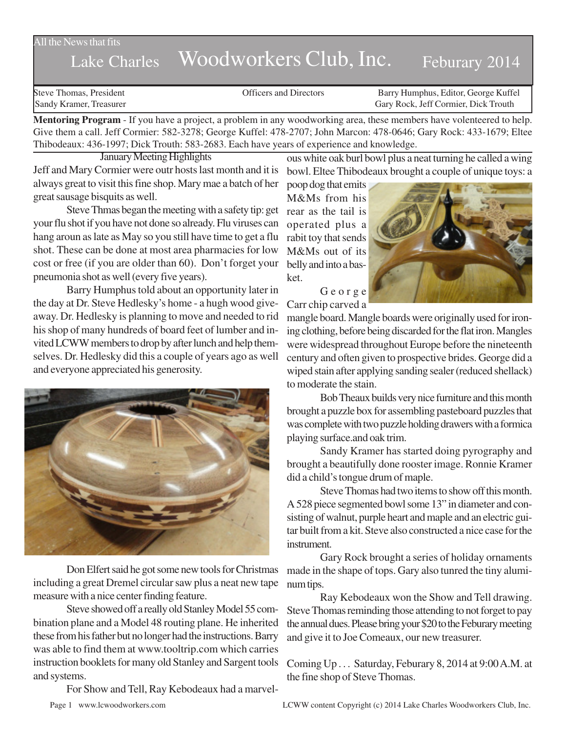All the News that fits

## Lake Charles Woodworkers Club, Inc. Feburary 2014

Steve Thomas, President **State Concrete Concrete Concrete Concrete Concrete Concrete Concrete Concrete Concrete Concrete Concrete Concrete Concrete Concrete Concrete Concrete Concrete Concrete Concrete Concrete Concrete Co** Sandy Kramer, Treasurer Gary Rock, Jeff Cormier, Dick Trouth

**Mentoring Program** - If you have a project, a problem in any woodworking area, these members have volenteered to help. Give them a call. Jeff Cormier: 582-3278; George Kuffel: 478-2707; John Marcon: 478-0646; Gary Rock: 433-1679; Eltee Thibodeaux: 436-1997; Dick Trouth: 583-2683. Each have years of experience and knowledge.

January Meeting Highlights

Jeff and Mary Cormier were outr hosts last month and it is always great to visit this fine shop. Mary mae a batch of her great sausage bisquits as well.

Steve Thmas began the meeting with a safety tip: get your flu shot if you have not done so already. Flu viruses can hang aroun as late as May so you still have time to get a flu shot. These can be done at most area pharmacies for low cost or free (if you are older than 60). Don't forget your pneumonia shot as well (every five years).

Barry Humphus told about an opportunity later in the day at Dr. Steve Hedlesky's home - a hugh wood giveaway. Dr. Hedlesky is planning to move and needed to rid his shop of many hundreds of board feet of lumber and invited LCWW members to drop by after lunch and help themselves. Dr. Hedlesky did this a couple of years ago as well and everyone appreciated his generosity.



Don Elfert said he got some new tools for Christmas including a great Dremel circular saw plus a neat new tape measure with a nice center finding feature.

Steve showed off a really old Stanley Model 55 combination plane and a Model 48 routing plane. He inherited these from his father but no longer had the instructions. Barry was able to find them at www.tooltrip.com which carries instruction booklets for many old Stanley and Sargent tools and systems.

For Show and Tell, Ray Kebodeaux had a marvel-

ous white oak burl bowl plus a neat turning he called a wing bowl. Eltee Thibodeaux brought a couple of unique toys: a

poop dog that emits M&Ms from his rear as the tail is operated plus a rabit toy that sends M&Ms out of its belly and into a basket.



George Carr chip carved a

mangle board. Mangle boards were originally used for ironing clothing, before being discarded for the flat iron. Mangles were widespread throughout Europe before the nineteenth century and often given to prospective brides. George did a wiped stain after applying sanding sealer (reduced shellack) to moderate the stain.

Bob Theaux builds very nice furniture and this month brought a puzzle box for assembling pasteboard puzzles that was complete with two puzzle holding drawers with a formica playing surface.and oak trim.

Sandy Kramer has started doing pyrography and brought a beautifully done rooster image. Ronnie Kramer did a child's tongue drum of maple.

Steve Thomas had two items to show off this month. A 528 piece segmented bowl some 13" in diameter and consisting of walnut, purple heart and maple and an electric guitar built from a kit. Steve also constructed a nice case for the instrument.

Gary Rock brought a series of holiday ornaments made in the shape of tops. Gary also tunred the tiny aluminum tips.

Ray Kebodeaux won the Show and Tell drawing. Steve Thomas reminding those attending to not forget to pay the annual dues. Please bring your \$20 to the Feburary meeting and give it to Joe Comeaux, our new treasurer.

Coming Up . . . Saturday, Feburary 8, 2014 at 9:00 A.M. at the fine shop of Steve Thomas.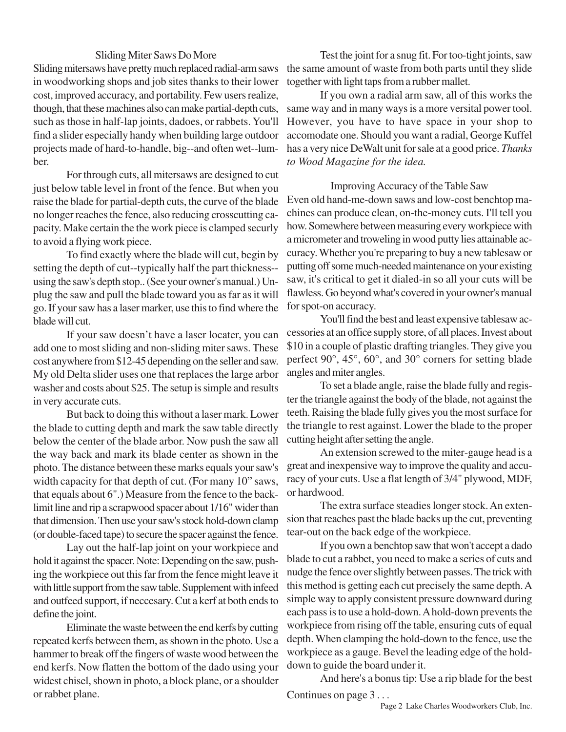## Sliding Miter Saws Do More

Sliding mitersaws have pretty much replaced radial-arm saws in woodworking shops and job sites thanks to their lower cost, improved accuracy, and portability. Few users realize, though, that these machines also can make partial-depth cuts, such as those in half-lap joints, dadoes, or rabbets. You'll find a slider especially handy when building large outdoor projects made of hard-to-handle, big--and often wet--lumber.

For through cuts, all mitersaws are designed to cut just below table level in front of the fence. But when you raise the blade for partial-depth cuts, the curve of the blade no longer reaches the fence, also reducing crosscutting capacity. Make certain the the work piece is clamped securly to avoid a flying work piece.

To find exactly where the blade will cut, begin by setting the depth of cut--typically half the part thickness- using the saw's depth stop.. (See your owner's manual.) Unplug the saw and pull the blade toward you as far as it will go. If your saw has a laser marker, use this to find where the blade will cut.

If your saw doesn't have a laser locater, you can add one to most sliding and non-sliding miter saws. These cost anywhere from \$12-45 depending on the seller and saw. My old Delta slider uses one that replaces the large arbor washer and costs about \$25. The setup is simple and results in very accurate cuts.

But back to doing this without a laser mark. Lower the blade to cutting depth and mark the saw table directly below the center of the blade arbor. Now push the saw all the way back and mark its blade center as shown in the photo. The distance between these marks equals your saw's width capacity for that depth of cut. (For many 10" saws, that equals about 6".) Measure from the fence to the backlimit line and rip a scrapwood spacer about 1/16" wider than that dimension. Then use your saw's stock hold-down clamp (or double-faced tape) to secure the spacer against the fence.

Lay out the half-lap joint on your workpiece and hold it against the spacer. Note: Depending on the saw, pushing the workpiece out this far from the fence might leave it with little support from the saw table. Supplement with infeed and outfeed support, if neccesary. Cut a kerf at both ends to define the joint.

Eliminate the waste between the end kerfs by cutting repeated kerfs between them, as shown in the photo. Use a hammer to break off the fingers of waste wood between the end kerfs. Now flatten the bottom of the dado using your widest chisel, shown in photo, a block plane, or a shoulder or rabbet plane.

Test the joint for a snug fit. For too-tight joints, saw the same amount of waste from both parts until they slide together with light taps from a rubber mallet.

If you own a radial arm saw, all of this works the same way and in many ways is a more versital power tool. However, you have to have space in your shop to accomodate one. Should you want a radial, George Kuffel has a very nice DeWalt unit for sale at a good price. *Thanks to Wood Magazine for the idea.*

Improving Accuracy of the Table Saw

Even old hand-me-down saws and low-cost benchtop machines can produce clean, on-the-money cuts. I'll tell you how. Somewhere between measuring every workpiece with a micrometer and troweling in wood putty lies attainable accuracy. Whether you're preparing to buy a new tablesaw or putting off some much-needed maintenance on your existing saw, it's critical to get it dialed-in so all your cuts will be flawless. Go beyond what's covered in your owner's manual for spot-on accuracy.

You'll find the best and least expensive tablesaw accessories at an office supply store, of all places. Invest about \$10 in a couple of plastic drafting triangles. They give you perfect 90°, 45°, 60°, and 30° corners for setting blade angles and miter angles.

To set a blade angle, raise the blade fully and register the triangle against the body of the blade, not against the teeth. Raising the blade fully gives you the most surface for the triangle to rest against. Lower the blade to the proper cutting height after setting the angle.

An extension screwed to the miter-gauge head is a great and inexpensive way to improve the quality and accuracy of your cuts. Use a flat length of 3/4" plywood, MDF, or hardwood.

The extra surface steadies longer stock. An extension that reaches past the blade backs up the cut, preventing tear-out on the back edge of the workpiece.

If you own a benchtop saw that won't accept a dado blade to cut a rabbet, you need to make a series of cuts and nudge the fence over slightly between passes. The trick with this method is getting each cut precisely the same depth. A simple way to apply consistent pressure downward during each pass is to use a hold-down. A hold-down prevents the workpiece from rising off the table, ensuring cuts of equal depth. When clamping the hold-down to the fence, use the workpiece as a gauge. Bevel the leading edge of the holddown to guide the board under it.

And here's a bonus tip: Use a rip blade for the best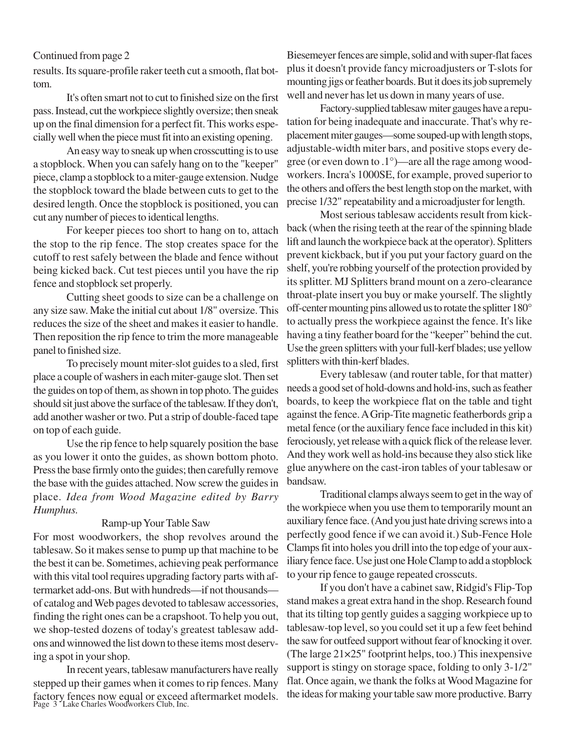results. Its square-profile raker teeth cut a smooth, flat bottom.

It's often smart not to cut to finished size on the first pass. Instead, cut the workpiece slightly oversize; then sneak up on the final dimension for a perfect fit. This works especially well when the piece must fit into an existing opening.

An easy way to sneak up when crosscutting is to use a stopblock. When you can safely hang on to the "keeper" piece, clamp a stopblock to a miter-gauge extension. Nudge the stopblock toward the blade between cuts to get to the desired length. Once the stopblock is positioned, you can cut any number of pieces to identical lengths.

For keeper pieces too short to hang on to, attach the stop to the rip fence. The stop creates space for the cutoff to rest safely between the blade and fence without being kicked back. Cut test pieces until you have the rip fence and stopblock set properly.

Cutting sheet goods to size can be a challenge on any size saw. Make the initial cut about 1/8" oversize. This reduces the size of the sheet and makes it easier to handle. Then reposition the rip fence to trim the more manageable panel to finished size.

To precisely mount miter-slot guides to a sled, first place a couple of washers in each miter-gauge slot. Then set the guides on top of them, as shown in top photo. The guides should sit just above the surface of the tablesaw. If they don't, add another washer or two. Put a strip of double-faced tape on top of each guide.

Use the rip fence to help squarely position the base as you lower it onto the guides, as shown bottom photo. Press the base firmly onto the guides; then carefully remove the base with the guides attached. Now screw the guides in place. *Idea from Wood Magazine edited by Barry Humphus.*

## Ramp-up Your Table Saw

For most woodworkers, the shop revolves around the tablesaw. So it makes sense to pump up that machine to be the best it can be. Sometimes, achieving peak performance with this vital tool requires upgrading factory parts with aftermarket add-ons. But with hundreds—if not thousands of catalog and Web pages devoted to tablesaw accessories, finding the right ones can be a crapshoot. To help you out, we shop-tested dozens of today's greatest tablesaw addons and winnowed the list down to these items most deserving a spot in your shop.

factory fences now equal or exceed aftermarket models.<br>Page 3 Lake Charles Woodworkers Club, Inc. In recent years, tablesaw manufacturers have really stepped up their games when it comes to rip fences. Many

Continued from page 2 Biesemeyer fences are simple, solid and with super-flat faces plus it doesn't provide fancy microadjusters or T-slots for mounting jigs or feather boards. But it does its job supremely well and never has let us down in many years of use.

> Factory-supplied tablesaw miter gauges have a reputation for being inadequate and inaccurate. That's why replacement miter gauges—some souped-up with length stops, adjustable-width miter bars, and positive stops every degree (or even down to .1°)—are all the rage among woodworkers. Incra's 1000SE, for example, proved superior to the others and offers the best length stop on the market, with precise 1/32" repeatability and a microadjuster for length.

> Most serious tablesaw accidents result from kickback (when the rising teeth at the rear of the spinning blade lift and launch the workpiece back at the operator). Splitters prevent kickback, but if you put your factory guard on the shelf, you're robbing yourself of the protection provided by its splitter. MJ Splitters brand mount on a zero-clearance throat-plate insert you buy or make yourself. The slightly off-center mounting pins allowed us to rotate the splitter 180° to actually press the workpiece against the fence. It's like having a tiny feather board for the "keeper" behind the cut. Use the green splitters with your full-kerf blades; use yellow splitters with thin-kerf blades.

> Every tablesaw (and router table, for that matter) needs a good set of hold-downs and hold-ins, such as feather boards, to keep the workpiece flat on the table and tight against the fence. A Grip-Tite magnetic featherbords grip a metal fence (or the auxiliary fence face included in this kit) ferociously, yet release with a quick flick of the release lever. And they work well as hold-ins because they also stick like glue anywhere on the cast-iron tables of your tablesaw or bandsaw.

> Traditional clamps always seem to get in the way of the workpiece when you use them to temporarily mount an auxiliary fence face. (And you just hate driving screws into a perfectly good fence if we can avoid it.) Sub-Fence Hole Clamps fit into holes you drill into the top edge of your auxiliary fence face. Use just one Hole Clamp to add a stopblock to your rip fence to gauge repeated crosscuts.

> If you don't have a cabinet saw, Ridgid's Flip-Top stand makes a great extra hand in the shop. Research found that its tilting top gently guides a sagging workpiece up to tablesaw-top level, so you could set it up a few feet behind the saw for outfeed support without fear of knocking it over. (The large 21×25" footprint helps, too.) This inexpensive support is stingy on storage space, folding to only 3-1/2" flat. Once again, we thank the folks at Wood Magazine for the ideas for making your table saw more productive. Barry